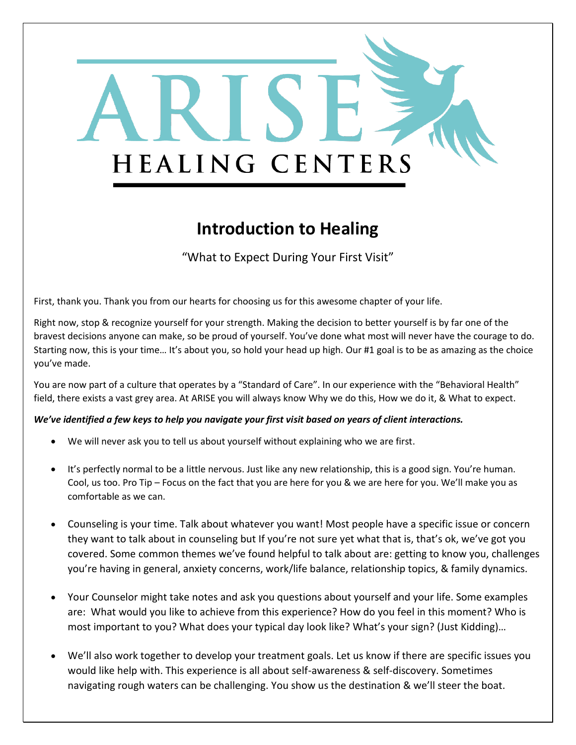

### **Introduction to Healing**

"What to Expect During Your First Visit"

First, thank you. Thank you from our hearts for choosing us for this awesome chapter of your life.

Right now, stop & recognize yourself for your strength. Making the decision to better yourself is by far one of the bravest decisions anyone can make, so be proud of yourself. You've done what most will never have the courage to do. Starting now, this is your time… It's about you, so hold your head up high. Our #1 goal is to be as amazing as the choice you've made.

You are now part of a culture that operates by a "Standard of Care". In our experience with the "Behavioral Health" field, there exists a vast grey area. At ARISE you will always know Why we do this, How we do it, & What to expect.

#### *We've identified a few keys to help you navigate your first visit based on years of client interactions.*

- We will never ask you to tell us about yourself without explaining who we are first.
- It's perfectly normal to be a little nervous. Just like any new relationship, this is a good sign. You're human. Cool, us too. Pro Tip – Focus on the fact that you are here for you & we are here for you. We'll make you as comfortable as we can.
- Counseling is your time. Talk about whatever you want! Most people have a specific issue or concern they want to talk about in counseling but If you're not sure yet what that is, that's ok, we've got you covered. Some common themes we've found helpful to talk about are: getting to know you, challenges you're having in general, anxiety concerns, work/life balance, relationship topics, & family dynamics.
- Your Counselor might take notes and ask you questions about yourself and your life. Some examples are: What would you like to achieve from this experience? How do you feel in this moment? Who is most important to you? What does your typical day look like? What's your sign? (Just Kidding)…
- We'll also work together to develop your treatment goals. Let us know if there are specific issues you would like help with. This experience is all about self-awareness & self-discovery. Sometimes navigating rough waters can be challenging. You show us the destination & we'll steer the boat.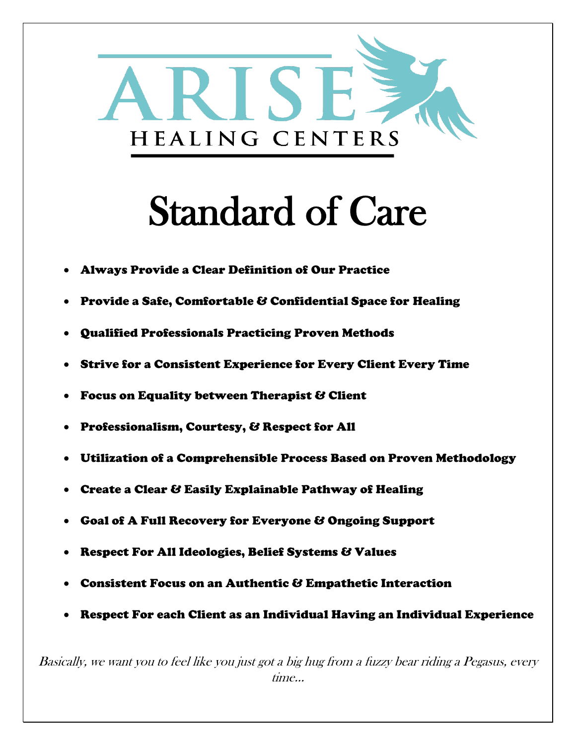

# Standard of Care

- Always Provide a Clear Definition of Our Practice
- Provide a Safe, Comfortable & Confidential Space for Healing
- Qualified Professionals Practicing Proven Methods
- Strive for a Consistent Experience for Every Client Every Time
- Focus on Equality between Therapist & Client
- Professionalism, Courtesy, & Respect for All
- Utilization of a Comprehensible Process Based on Proven Methodology
- Create a Clear & Easily Explainable Pathway of Healing
- Goal of A Full Recovery for Everyone & Ongoing Support
- Respect For All Ideologies, Belief Systems & Values
- Consistent Focus on an Authentic & Empathetic Interaction
- Respect For each Client as an Individual Having an Individual Experience

Basically, we want you to feel like you just got a big hug from a fuzzy bear riding a Pegasus, every time…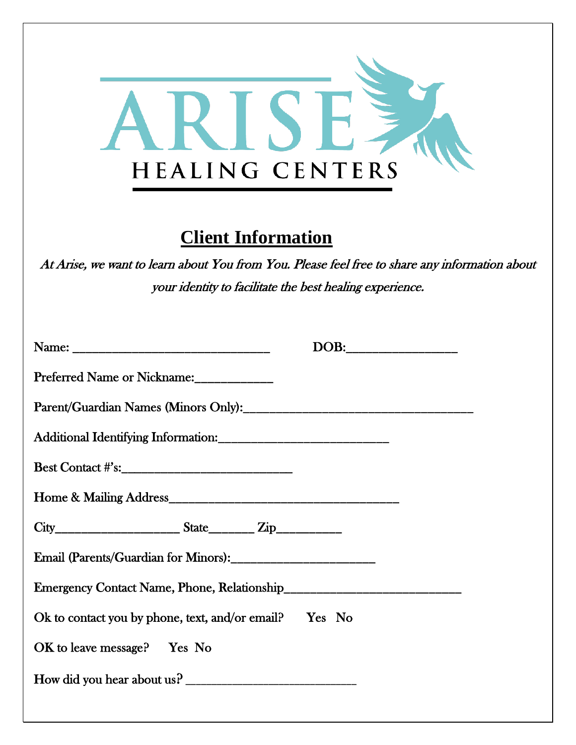

#### **Client Information**

At Arise, we want to learn about You from You. Please feel free to share any information about your identity to facilitate the best healing experience.

|                                                                 | DOB: 2000 |
|-----------------------------------------------------------------|-----------|
| Preferred Name or Nickname:                                     |           |
|                                                                 |           |
|                                                                 |           |
|                                                                 |           |
|                                                                 |           |
| $City$ $City$ $State$ $Zip$ $Zip$                               |           |
|                                                                 |           |
| Emergency Contact Name, Phone, Relationship                     |           |
| Ok to contact you by phone, text, and/or email? $\Gamma$ Yes No |           |
| $OK$ to leave message? Yes No                                   |           |
| How did you hear about us?                                      |           |
|                                                                 |           |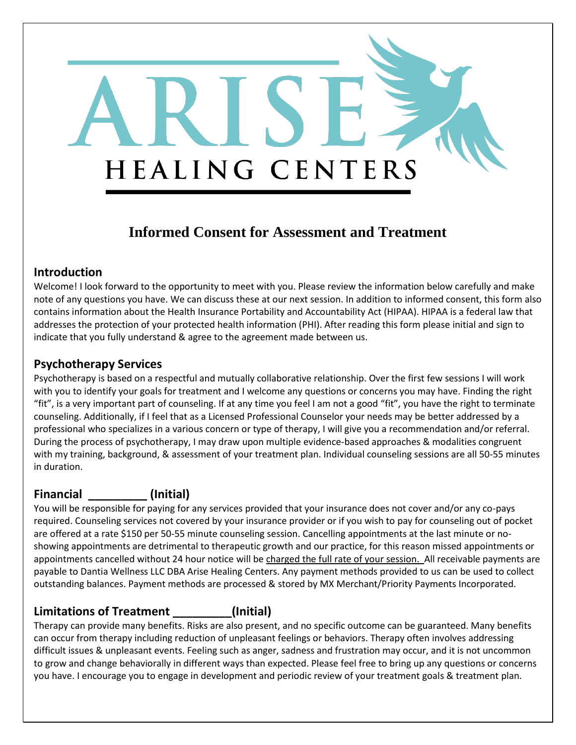## **Informed Consent for Assessment and Treatment**

HEALING CENTERS

#### **Introduction**

Welcome! I look forward to the opportunity to meet with you. Please review the information below carefully and make note of any questions you have. We can discuss these at our next session. In addition to informed consent, this form also contains information about the Health Insurance Portability and Accountability Act (HIPAA). HIPAA is a federal law that addresses the protection of your protected health information (PHI). After reading this form please initial and sign to indicate that you fully understand & agree to the agreement made between us.

#### **Psychotherapy Services**

Psychotherapy is based on a respectful and mutually collaborative relationship. Over the first few sessions I will work with you to identify your goals for treatment and I welcome any questions or concerns you may have. Finding the right "fit", is a very important part of counseling. If at any time you feel I am not a good "fit", you have the right to terminate counseling. Additionally, if I feel that as a Licensed Professional Counselor your needs may be better addressed by a professional who specializes in a various concern or type of therapy, I will give you a recommendation and/or referral. During the process of psychotherapy, I may draw upon multiple evidence-based approaches & modalities congruent with my training, background, & assessment of your treatment plan. Individual counseling sessions are all 50-55 minutes in duration.

#### **Financial \_\_\_\_\_\_\_\_\_ (Initial)**

You will be responsible for paying for any services provided that your insurance does not cover and/or any co-pays required. Counseling services not covered by your insurance provider or if you wish to pay for counseling out of pocket are offered at a rate \$150 per 50-55 minute counseling session. Cancelling appointments at the last minute or noshowing appointments are detrimental to therapeutic growth and our practice, for this reason missed appointments or appointments cancelled without 24 hour notice will be charged the full rate of your session. All receivable payments are payable to Dantia Wellness LLC DBA Arise Healing Centers. Any payment methods provided to us can be used to collect outstanding balances. Payment methods are processed & stored by MX Merchant/Priority Payments Incorporated.

#### **Limitations of Treatment \_\_\_\_\_\_\_\_\_(Initial)**

Therapy can provide many benefits. Risks are also present, and no specific outcome can be guaranteed. Many benefits can occur from therapy including reduction of unpleasant feelings or behaviors. Therapy often involves addressing difficult issues & unpleasant events. Feeling such as anger, sadness and frustration may occur, and it is not uncommon to grow and change behaviorally in different ways than expected. Please feel free to bring up any questions or concerns you have. I encourage you to engage in development and periodic review of your treatment goals & treatment plan.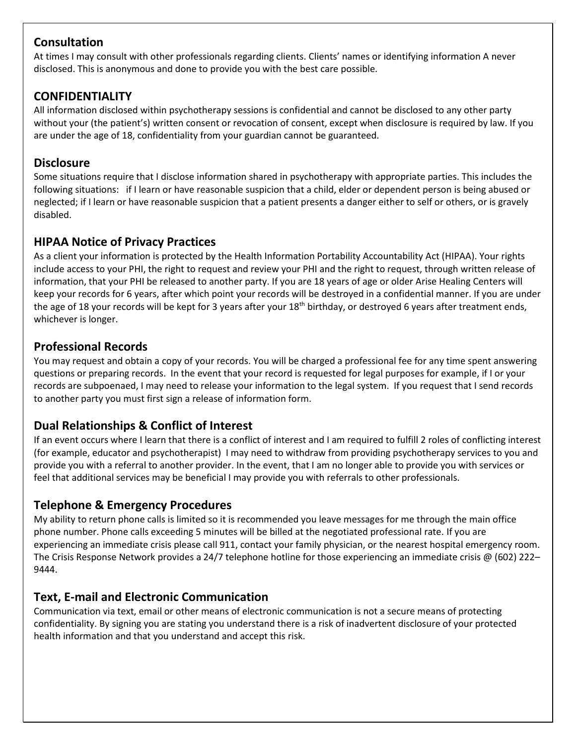#### **Consultation**

At times I may consult with other professionals regarding clients. Clients' names or identifying information A never disclosed. This is anonymous and done to provide you with the best care possible.

#### **CONFIDENTIALITY**

All information disclosed within psychotherapy sessions is confidential and cannot be disclosed to any other party without your (the patient's) written consent or revocation of consent, except when disclosure is required by law. If you are under the age of 18, confidentiality from your guardian cannot be guaranteed.

#### **Disclosure**

Some situations require that I disclose information shared in psychotherapy with appropriate parties. This includes the following situations: if I learn or have reasonable suspicion that a child, elder or dependent person is being abused or neglected; if I learn or have reasonable suspicion that a patient presents a danger either to self or others, or is gravely disabled.

#### **HIPAA Notice of Privacy Practices**

As a client your information is protected by the Health Information Portability Accountability Act (HIPAA). Your rights include access to your PHI, the right to request and review your PHI and the right to request, through written release of information, that your PHI be released to another party. If you are 18 years of age or older Arise Healing Centers will keep your records for 6 years, after which point your records will be destroyed in a confidential manner. If you are under the age of 18 your records will be kept for 3 years after your 18<sup>th</sup> birthday, or destroyed 6 years after treatment ends, whichever is longer.

#### **Professional Records**

You may request and obtain a copy of your records. You will be charged a professional fee for any time spent answering questions or preparing records. In the event that your record is requested for legal purposes for example, if I or your records are subpoenaed, I may need to release your information to the legal system. If you request that I send records to another party you must first sign a release of information form.

#### **Dual Relationships & Conflict of Interest**

If an event occurs where I learn that there is a conflict of interest and I am required to fulfill 2 roles of conflicting interest (for example, educator and psychotherapist) I may need to withdraw from providing psychotherapy services to you and provide you with a referral to another provider. In the event, that I am no longer able to provide you with services or feel that additional services may be beneficial I may provide you with referrals to other professionals.

#### **Telephone & Emergency Procedures**

My ability to return phone calls is limited so it is recommended you leave messages for me through the main office phone number. Phone calls exceeding 5 minutes will be billed at the negotiated professional rate. If you are experiencing an immediate crisis please call 911, contact your family physician, or the nearest hospital emergency room. The Crisis Response Network provides a 24/7 telephone hotline for those experiencing an immediate crisis @ (602) 222– 9444.

#### **Text, E-mail and Electronic Communication**

Communication via text, email or other means of electronic communication is not a secure means of protecting confidentiality. By signing you are stating you understand there is a risk of inadvertent disclosure of your protected health information and that you understand and accept this risk.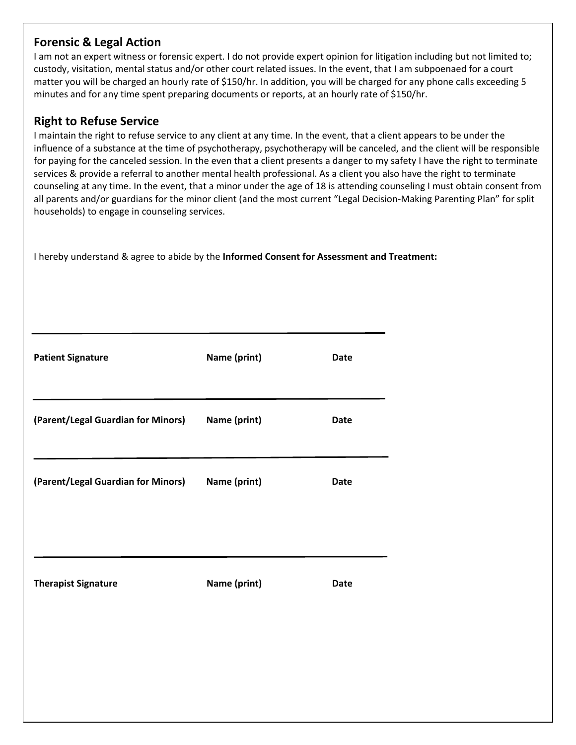#### **Forensic & Legal Action**

I am not an expert witness or forensic expert. I do not provide expert opinion for litigation including but not limited to; custody, visitation, mental status and/or other court related issues. In the event, that I am subpoenaed for a court matter you will be charged an hourly rate of \$150/hr. In addition, you will be charged for any phone calls exceeding 5 minutes and for any time spent preparing documents or reports, at an hourly rate of \$150/hr.

#### **Right to Refuse Service**

I maintain the right to refuse service to any client at any time. In the event, that a client appears to be under the influence of a substance at the time of psychotherapy, psychotherapy will be canceled, and the client will be responsible for paying for the canceled session. In the even that a client presents a danger to my safety I have the right to terminate services & provide a referral to another mental health professional. As a client you also have the right to terminate counseling at any time. In the event, that a minor under the age of 18 is attending counseling I must obtain consent from all parents and/or guardians for the minor client (and the most current "Legal Decision-Making Parenting Plan" for split households) to engage in counseling services.

I hereby understand & agree to abide by the **Informed Consent for Assessment and Treatment:**

| <b>Patient Signature</b>                        | Name (print) | <b>Date</b> |
|-------------------------------------------------|--------------|-------------|
| (Parent/Legal Guardian for Minors) Name (print) |              | <b>Date</b> |
| (Parent/Legal Guardian for Minors) Name (print) |              | <b>Date</b> |
| <b>Therapist Signature</b>                      | Name (print) | Date        |